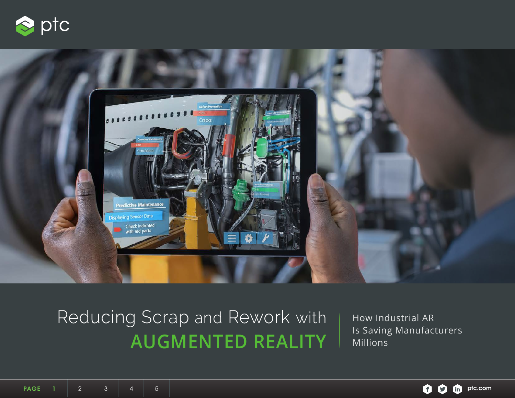<span id="page-0-0"></span>



# Reducing Scrap and Rework with **AUGMENTED REALITY**

How Industrial AR Is Saving Manufacturers Millions

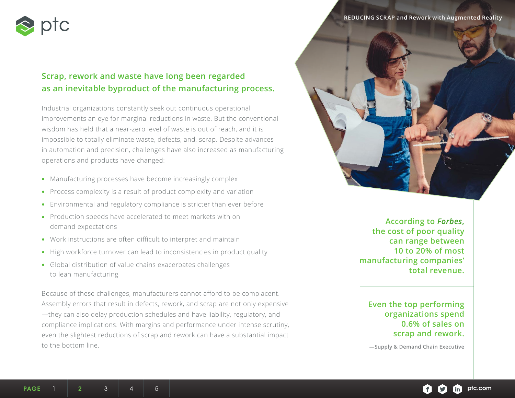<span id="page-1-0"></span>

# **Scrap, rework and waste have long been regarded as an inevitable byproduct of the manufacturing process.**

Industrial organizations constantly seek out continuous operational improvements an eye for marginal reductions in waste. But the conventional wisdom has held that a near-zero level of waste is out of reach, and it is impossible to totally eliminate waste, defects, and, scrap. Despite advances in automation and precision, challenges have also increased as manufacturing operations and products have changed:

- Manufacturing processes have become increasingly complex
- Process complexity is a result of product complexity and variation
- Environmental and regulatory compliance is stricter than ever before
- Production speeds have accelerated to meet markets with on demand expectations
- Work instructions are often difficult to interpret and maintain
- High workforce turnover can lead to inconsistencies in product quality
- Global distribution of value chains exacerbates challenges to lean manufacturing

Because of these challenges, manufacturers cannot afford to be complacent. Assembly errors that result in defects, rework, and scrap are not only expensive **—**they can also delay production schedules and have liability, regulatory, and compliance implications. With margins and performance under intense scrutiny, even the slightest reductions of scrap and rework can have a substantial impact to the bottom line.

**REDUCING SCRAP and Rework with Augmented Reality**



**According to** *[Forbes](https://www.forbes.com/sites/willemsundbladeurope/2018/07/30/whats-at-stake-in-the-race-to-industry-4-0/#df5824c7d11e)***, the cost of poor quality can range between 10 to 20% of most manufacturing companies' total revenue.**

**Even the top performing organizations spend 0.6% of sales on scrap and rework.**

**[—Supply & Demand Chain Executive](https://www.forbes.com/sites/willemsundbladeurope/2018/07/30/whats-at-stake-in-the-race-to-industry-4-0/#df5824c7d11e)**

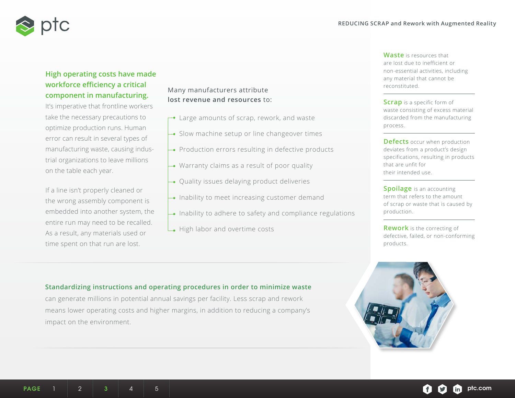<span id="page-2-0"></span>

# **High operating costs have made workforce efficiency a critical component in manufacturing.**

It's imperative that frontline workers take the necessary precautions to optimize production runs. Human error can result in several types of manufacturing waste, causing industrial organizations to leave millions on the table each year.

If a line isn't properly cleaned or the wrong assembly component is embedded into another system, the entire run may need to be recalled. As a result, any materials used or time spent on that run are lost.

#### Many manufacturers attribute **lost revenue and resources** to:

- $\rightarrow$  Large amounts of scrap, rework, and waste
- Slow machine setup or line changeover times
- Production errors resulting in defective products
- Warranty claims as a result of poor quality
- Quality issues delaying product deliveries
- Inability to meet increasing customer demand
- $\rightarrow$  Inability to adhere to safety and compliance regulations
- High labor and overtime costs

**Waste** is resources that are lost due to inefficient or non-essential activities, including any material that cannot be reconstituted.

**Scrap** is a specific form of waste consisting of excess material discarded from the manufacturing process.

**Defects** occur when production deviates from a product's design specifications, resulting in products that are unfit for their intended use.

**Spoilage** is an accounting term that refers to the amount of scrap or waste that is caused by production.

**Rework** is the correcting of defective, failed, or non-conforming products.



#### **Standardizing instructions and operating procedures in order to minimize waste**

can generate millions in potential annual savings per facility. Less scrap and rework means lower operating costs and higher margins, in addition to reducing a company's impact on the environment.

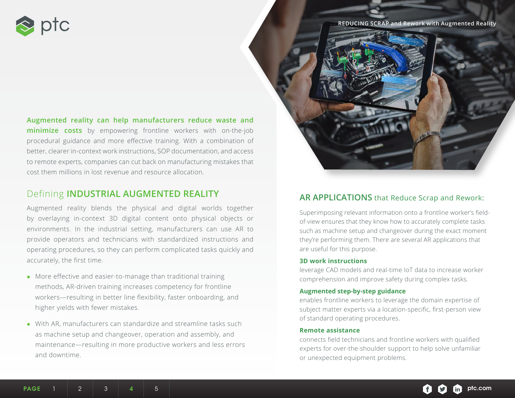<span id="page-3-0"></span>

**REDUCING SCRAP and Rework with Augmented Reality**



**Augmented reality can help manufacturers reduce waste and minimize costs** by empowering frontline workers with on-the-job procedural guidance and more effective training. With a combination of better, clearer in-context work instructions, SOP documentation, and access to remote experts, companies can cut back on manufacturing mistakes that cost them millions in lost revenue and resource allocation.

# Defining **INDUSTRIAL AUGMENTED REALITY**

Augmented reality blends the physical and digital worlds together by overlaying in-context 3D digital content onto physical objects or environments. In the industrial setting, manufacturers can use AR to provide operators and technicians with standardized instructions and operating procedures, so they can perform complicated tasks quickly and accurately, the first time.

- More effective and easier-to-manage than traditional training methods, AR-driven training increases competency for frontline workers—resulting in better line flexibility, faster onboarding, and higher yields with fewer mistakes.
- With AR, manufacturers can standardize and streamline tasks such as machine setup and changeover, operation and assembly, and maintenance—resulting in more productive workers and less errors and downtime.

# **AR APPLICATIONS** that Reduce Scrap and Rework:

Superimposing relevant information onto a frontline worker's fieldof-view ensures that they know how to accurately complete tasks such as machine setup and changeover during the exact moment they're performing them. There are several AR applications that are useful for this purpose.

#### **3D work instructions**

leverage CAD models and real-time IoT data to increase worker comprehension and improve safety during complex tasks.

#### **Augmented step-by-step guidance**

enables frontline workers to leverage the domain expertise of subject matter experts via a location-specific, first-person view of standard operating procedures.

#### **Remote assistance**

connects field technicians and frontline workers with qualified experts for over-the-shoulder support to help solve unfamiliar or unexpected equipment problems.